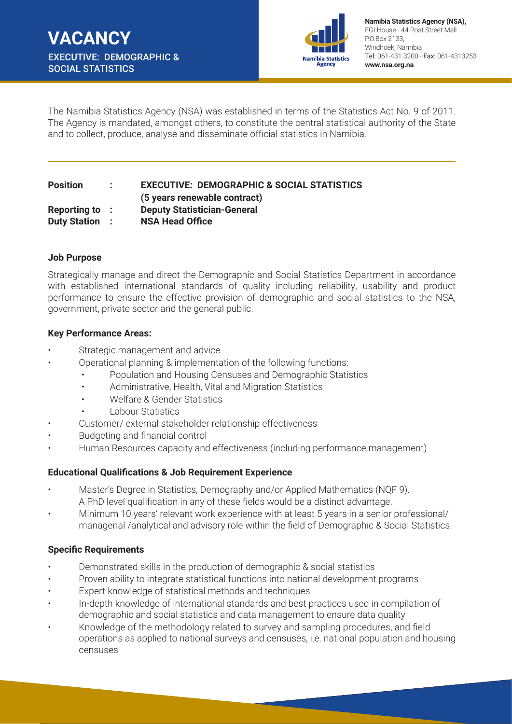

**Namibia Statistics Agency (NSA),**  FGI House - 44 Post Street Mall P.O.Box 2133, Windhoek, Namibia Tel: 061-431 3200 - Fax: 061-4313253 **www.nsa.org.na**

The Namibia Statistics Agency (NSA) was established in terms of the Statistics Act No. 9 of 2011. The Agency is mandated, amongst others, to constitute the central statistical authority of the State and to collect, produce, analyse and disseminate official statistics in Namibia.

# **Position : EXECUTIVE: DEMOGRAPHIC & SOCIAL STATISTICS (5 years renewable contract) Reporting to : Deputy Statistician-General Duty Station : NSA Head Office**

#### **Job Purpose**

Strategically manage and direct the Demographic and Social Statistics Department in accordance with established international standards of quality including reliability, usability and product performance to ensure the effective provision of demographic and social statistics to the NSA, government, private sector and the general public.

#### **Key Performance Areas:**

- Strategic management and advice
- Operational planning & implementation of the following functions:
	- Population and Housing Censuses and Demographic Statistics
	- Administrative, Health, Vital and Migration Statistics
	- Welfare & Gender Statistics
	- Labour Statistics
- Customer/ external stakeholder relationship effectiveness
- Budgeting and financial control
- Human Resources capacity and effectiveness (including performance management)

### **Educational Qualifications & Job Requirement Experience**

- Master's Degree in Statistics, Demography and/or Applied Mathematics (NQF 9). A PhD level qualification in any of these fields would be a distinct advantage.
- Minimum 10 years' relevant work experience with at least 5 years in a senior professional/ managerial /analytical and advisory role within the field of Demographic & Social Statistics.

### **Specific Requirements**

- Demonstrated skills in the production of demographic & social statistics
- Proven ability to integrate statistical functions into national development programs
- Expert knowledge of statistical methods and techniques
- In-depth knowledge of international standards and best practices used in compilation of demographic and social statistics and data management to ensure data quality
- Knowledge of the methodology related to survey and sampling procedures, and field operations as applied to national surveys and censuses, i.e. national population and housing censuses